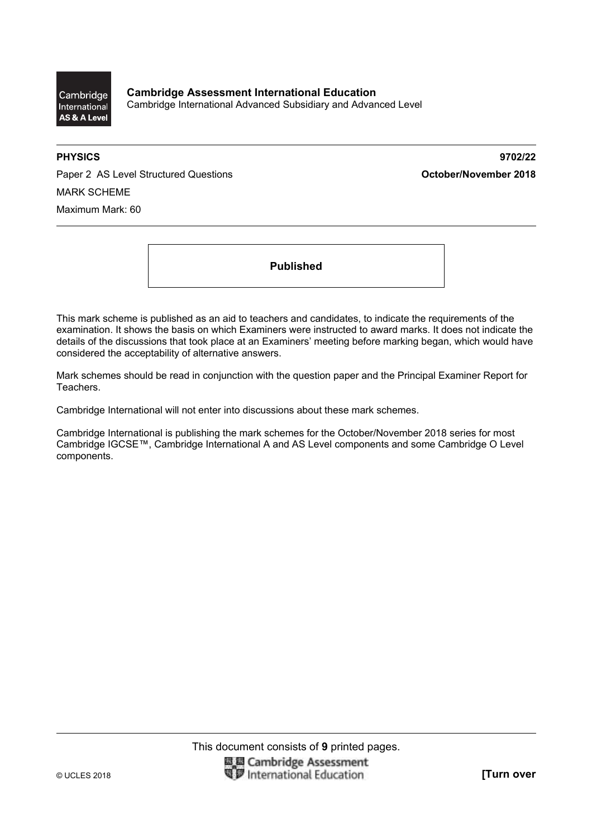

**PHYSICS 9702/22** 

Paper 2 AS Level Structured Questions **CES 2018 October/November 2018** MARK SCHEME Maximum Mark: 60

**Published** 

This mark scheme is published as an aid to teachers and candidates, to indicate the requirements of the examination. It shows the basis on which Examiners were instructed to award marks. It does not indicate the details of the discussions that took place at an Examiners' meeting before marking began, which would have considered the acceptability of alternative answers.

Mark schemes should be read in conjunction with the question paper and the Principal Examiner Report for Teachers.

Cambridge International will not enter into discussions about these mark schemes.

Cambridge International is publishing the mark schemes for the October/November 2018 series for most Cambridge IGCSE™, Cambridge International A and AS Level components and some Cambridge O Level components.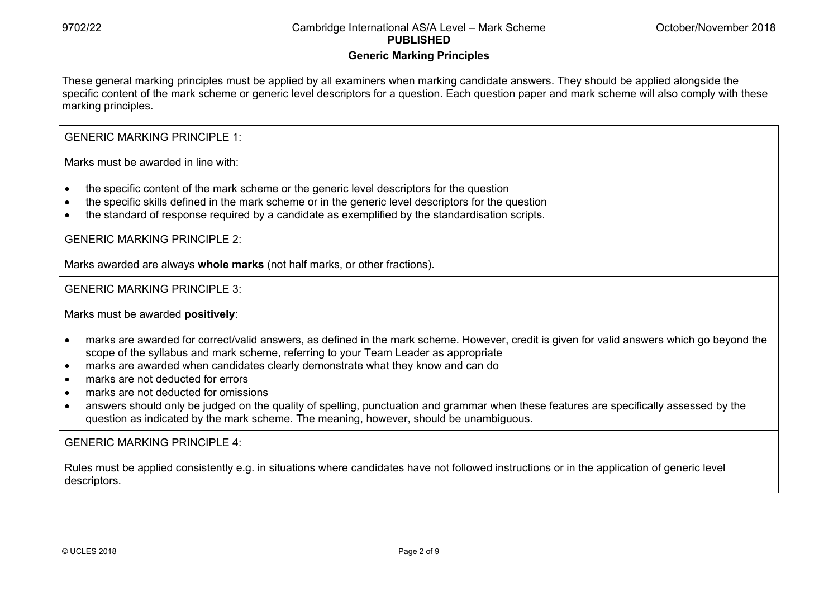## **Generic Marking Principles**

These general marking principles must be applied by all examiners when marking candidate answers. They should be applied alongside the specific content of the mark scheme or generic level descriptors for a question. Each question paper and mark scheme will also comply with these marking principles.

GENERIC MARKING PRINCIPLE 1:

Marks must be awarded in line with:

- the specific content of the mark scheme or the generic level descriptors for the question
- the specific skills defined in the mark scheme or in the generic level descriptors for the question
- the standard of response required by a candidate as exemplified by the standardisation scripts.

GENERIC MARKING PRINCIPLE 2:

Marks awarded are always **whole marks** (not half marks, or other fractions).

GENERIC MARKING PRINCIPLE 3:

Marks must be awarded **positively**:

- marks are awarded for correct/valid answers, as defined in the mark scheme. However, credit is given for valid answers which go beyond the scope of the syllabus and mark scheme, referring to your Team Leader as appropriate
- marks are awarded when candidates clearly demonstrate what they know and can do
- marks are not deducted for errors
- marks are not deducted for omissions
- answers should only be judged on the quality of spelling, punctuation and grammar when these features are specifically assessed by the question as indicated by the mark scheme. The meaning, however, should be unambiguous.

GENERIC MARKING PRINCIPLE 4:

Rules must be applied consistently e.g. in situations where candidates have not followed instructions or in the application of generic level descriptors.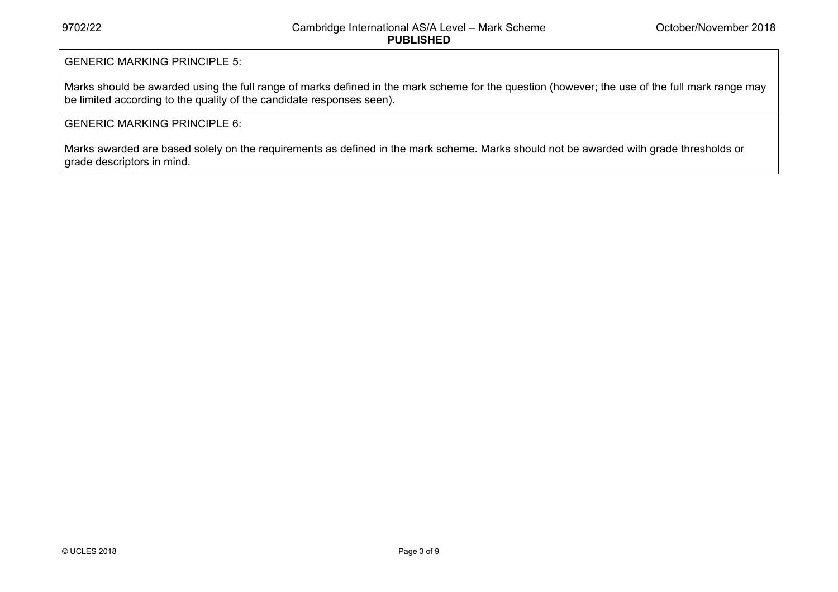# GENERIC MARKING PRINCIPLE 5:

Marks should be awarded using the full range of marks defined in the mark scheme for the question (however; the use of the full mark range may be limited according to the quality of the candidate responses seen).

### GENERIC MARKING PRINCIPLE 6:

Marks awarded are based solely on the requirements as defined in the mark scheme. Marks should not be awarded with grade thresholds or grade descriptors in mind.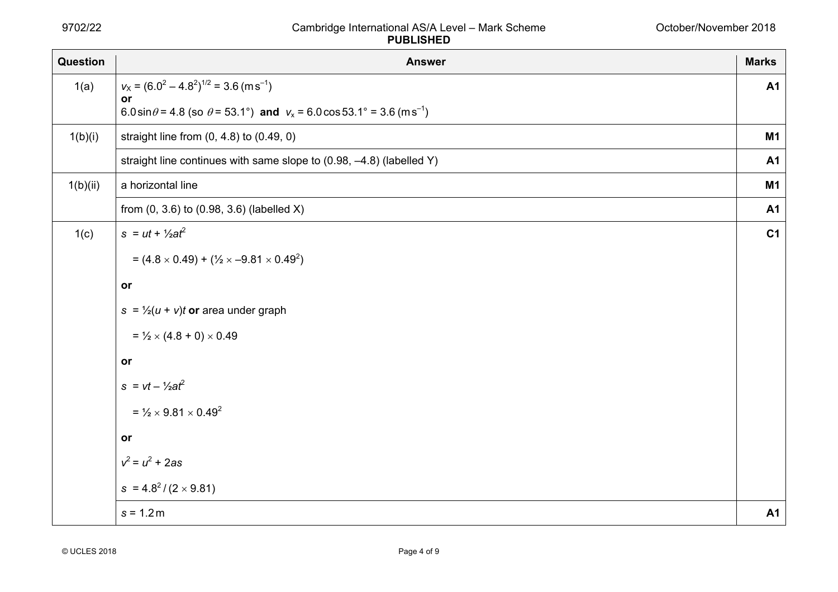| Question | <b>Answer</b>                                                                                           | <b>Marks</b>   |
|----------|---------------------------------------------------------------------------------------------------------|----------------|
| 1(a)     | $v_x = (6.0^2 - 4.8^2)^{1/2} = 3.6 \text{ (m s}^{-1})$                                                  | <b>A1</b>      |
|          | or<br>6.0 sin $\theta$ = 4.8 (so $\theta$ = 53.1°) and $v_x$ = 6.0 cos 53.1° = 3.6 (m s <sup>-1</sup> ) |                |
| 1(b)(i)  | straight line from $(0, 4.8)$ to $(0.49, 0)$                                                            | <b>M1</b>      |
|          | straight line continues with same slope to (0.98, -4.8) (labelled Y)                                    | <b>A1</b>      |
| 1(b)(ii) | a horizontal line                                                                                       | M1             |
|          | from $(0, 3.6)$ to $(0.98, 3.6)$ (labelled X)                                                           | <b>A1</b>      |
| 1(c)     | $s = ut + \frac{1}{2}at^2$                                                                              | C <sub>1</sub> |
|          | $= (4.8 \times 0.49) + (\frac{1}{2} \times -9.81 \times 0.49^{2})$                                      |                |
|          | or                                                                                                      |                |
|          | $s = \frac{1}{2}(u + v)t$ or area under graph                                                           |                |
|          | $=$ $\frac{1}{2} \times (4.8 + 0) \times 0.49$                                                          |                |
|          | or                                                                                                      |                |
|          | $s = vt - \frac{1}{2}at^2$                                                                              |                |
|          | $=$ 1/ <sub>2</sub> $\times$ 9.81 $\times$ 0.49 <sup>2</sup>                                            |                |
|          | or                                                                                                      |                |
|          | $v^2 = u^2 + 2as$                                                                                       |                |
|          | $s = 4.8^2/(2 \times 9.81)$                                                                             |                |
|          | $s = 1.2 m$                                                                                             | <b>A1</b>      |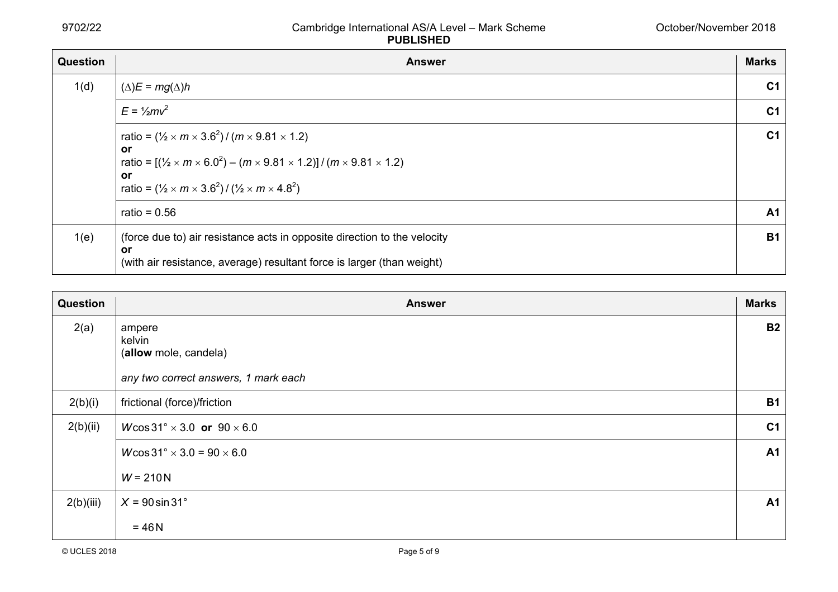| <b>Question</b> | <b>Answer</b>                                                                                                                                                                                                                                                                                     | <b>Marks</b>   |
|-----------------|---------------------------------------------------------------------------------------------------------------------------------------------------------------------------------------------------------------------------------------------------------------------------------------------------|----------------|
| 1(d)            | $(\Delta)E = mg(\Delta)h$                                                                                                                                                                                                                                                                         | C <sub>1</sub> |
|                 | $E = \frac{1}{2}mv^2$                                                                                                                                                                                                                                                                             | C <sub>1</sub> |
|                 | ratio = $(\frac{1}{2} \times m \times 3.6^2) / (m \times 9.81 \times 1.2)$<br>or<br>ratio = $[(\frac{1}{2} \times m \times 6.0^2) - (m \times 9.81 \times 1.2)] / (m \times 9.81 \times 1.2)$<br><b>or</b><br>ratio = $(\frac{1}{2} \times m \times 3.6^2) / (\frac{1}{2} \times m \times 4.8^2)$ | C <sub>1</sub> |
|                 | ratio = $0.56$                                                                                                                                                                                                                                                                                    | <b>A1</b>      |
| 1(e)            | (force due to) air resistance acts in opposite direction to the velocity<br>or<br>(with air resistance, average) resultant force is larger (than weight)                                                                                                                                          | <b>B1</b>      |

| Question  | <b>Answer</b>                                                                     | <b>Marks</b>   |
|-----------|-----------------------------------------------------------------------------------|----------------|
| 2(a)      | ampere<br>kelvin<br>(allow mole, candela)<br>any two correct answers, 1 mark each | <b>B2</b>      |
|           |                                                                                   |                |
| 2(b)(i)   | frictional (force)/friction                                                       | <b>B1</b>      |
| 2(b)(ii)  | $W\cos 31^\circ \times 3.0$ or $90 \times 6.0$                                    | C <sub>1</sub> |
|           | $W\cos 31^\circ \times 3.0 = 90 \times 6.0$                                       | A <sub>1</sub> |
|           | $W = 210 N$                                                                       |                |
| 2(b)(iii) | $X = 90 \sin 31^\circ$                                                            | A <sub>1</sub> |
|           | $= 46 N$                                                                          |                |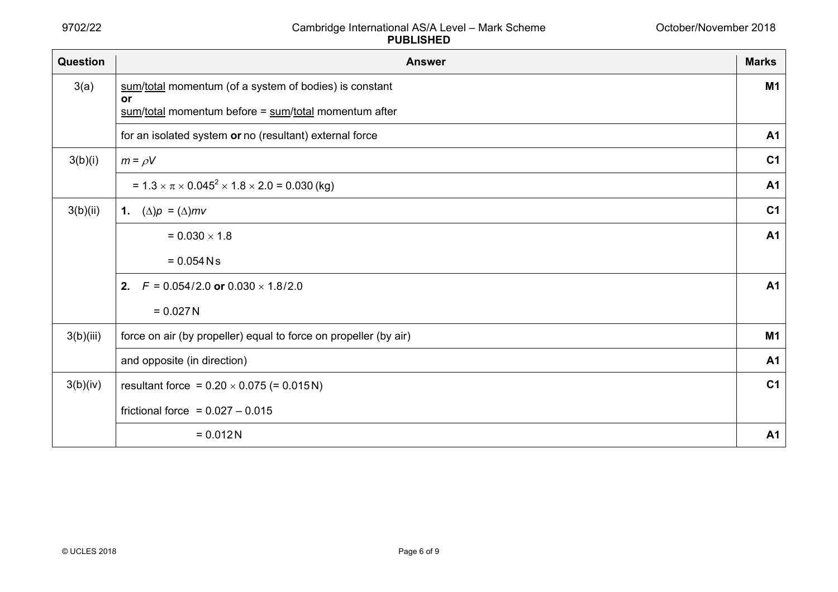| Question  | <b>Answer</b>                                                        | <b>Marks</b>   |
|-----------|----------------------------------------------------------------------|----------------|
| 3(a)      | sum/total momentum (of a system of bodies) is constant               | <b>M1</b>      |
|           | or<br>$sum/total$ momentum before = $sum/total$ momentum after       |                |
|           | for an isolated system or no (resultant) external force              | A <sub>1</sub> |
| 3(b)(i)   | $m = \rho V$                                                         | C <sub>1</sub> |
|           | = $1.3 \times \pi \times 0.045^2 \times 1.8 \times 2.0 = 0.030$ (kg) | <b>A1</b>      |
| 3(b)(ii)  | 1. $(\Delta)p = (\Delta)mv$                                          | C <sub>1</sub> |
|           | $= 0.030 \times 1.8$                                                 | <b>A1</b>      |
|           | $= 0.054$ N s                                                        |                |
|           | 2.<br>$F = 0.054/2.0$ or $0.030 \times 1.8/2.0$                      | A <sub>1</sub> |
|           | $= 0.027 N$                                                          |                |
| 3(b)(iii) | force on air (by propeller) equal to force on propeller (by air)     | M <sub>1</sub> |
|           | and opposite (in direction)                                          | <b>A1</b>      |
| 3(b)(iv)  | resultant force = $0.20 \times 0.075$ (= 0.015N)                     | C <sub>1</sub> |
|           | frictional force = $0.027 - 0.015$                                   |                |
|           | $= 0.012N$                                                           | <b>A1</b>      |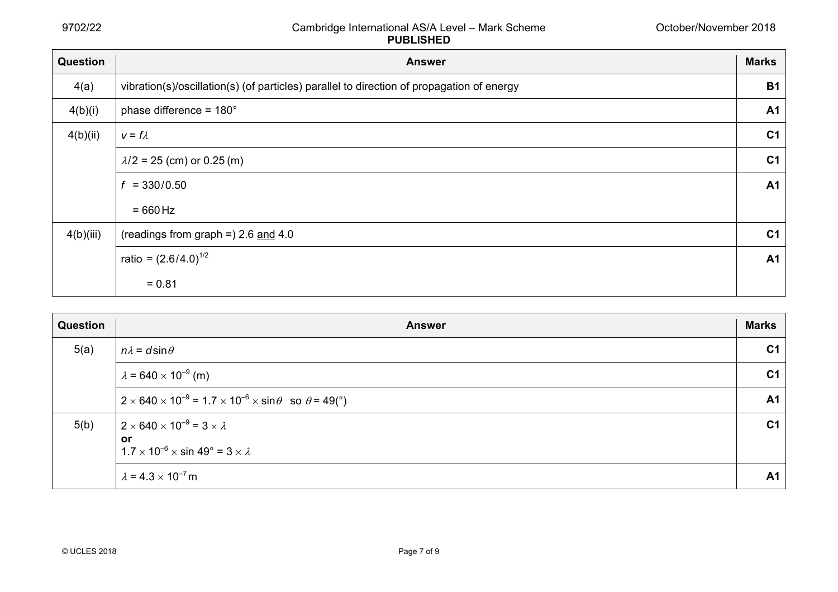| Question  | <b>Answer</b>                                                                             | <b>Marks</b>   |
|-----------|-------------------------------------------------------------------------------------------|----------------|
| 4(a)      | vibration(s)/oscillation(s) (of particles) parallel to direction of propagation of energy | <b>B1</b>      |
| 4(b)(i)   | phase difference = $180^\circ$                                                            | A <sub>1</sub> |
| 4(b)(ii)  | $v = f \lambda$                                                                           | C <sub>1</sub> |
|           | $\lambda/2$ = 25 (cm) or 0.25 (m)                                                         | C <sub>1</sub> |
|           | $= 330/0.50$<br>f                                                                         | <b>A1</b>      |
|           | $=660$ Hz                                                                                 |                |
| 4(b)(iii) | (readings from graph =) $2.6$ and $4.0$                                                   | C <sub>1</sub> |
|           | ratio = $(2.6/4.0)^{1/2}$                                                                 | <b>A1</b>      |
|           | $= 0.81$                                                                                  |                |

| Question | <b>Answer</b>                                                                                                            | <b>Marks</b>   |
|----------|--------------------------------------------------------------------------------------------------------------------------|----------------|
| 5(a)     | $n\lambda = d \sin \theta$                                                                                               | C <sub>1</sub> |
|          | $\lambda$ = 640 $\times$ 10 <sup>-9</sup> (m)                                                                            | C <sub>1</sub> |
|          | $2 \times 640 \times 10^{-9} = 1.7 \times 10^{-6} \times \sin \theta$ so $\theta = 49$ (°)                               | <b>A1</b>      |
| 5(b)     | $2 \times 640 \times 10^{-9} = 3 \times \lambda$<br>or<br>$1.7 \times 10^{-6} \times \sin 49^{\circ} = 3 \times \lambda$ | C <sub>1</sub> |
|          | $\lambda = 4.3 \times 10^{-7}$ m                                                                                         | <b>A1</b>      |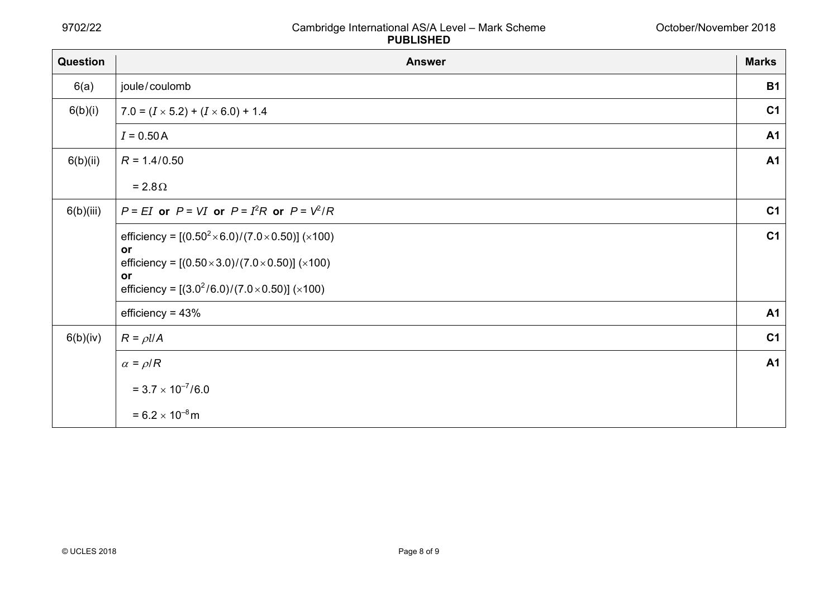| Question  | <b>Answer</b>                                                     | <b>Marks</b>   |
|-----------|-------------------------------------------------------------------|----------------|
| 6(a)      | joule/coulomb                                                     | <b>B1</b>      |
| 6(b)(i)   | $7.0 = (I \times 5.2) + (I \times 6.0) + 1.4$                     | C <sub>1</sub> |
|           | $I = 0.50 A$                                                      | <b>A1</b>      |
| 6(b)(ii)  | $R = 1.4/0.50$                                                    | <b>A1</b>      |
|           | $= 2.8 \Omega$                                                    |                |
| 6(b)(iii) | $P = EI$ or $P = VI$ or $P = I2R$ or $P = V2/R$                   | C <sub>1</sub> |
|           | efficiency = $[(0.50^2 \times 6.0)/(7.0 \times 0.50)] (×100)$     | C <sub>1</sub> |
|           | or<br>efficiency = $[(0.50 \times 3.0)/(7.0 \times 0.50)] (×100)$ |                |
|           | or<br>efficiency = $[(3.0^2/6.0)/(7.0 \times 0.50)] (×100)$       |                |
|           | efficiency = $43%$                                                | <b>A1</b>      |
| 6(b)(iv)  | $R = \rho l/A$                                                    | C <sub>1</sub> |
|           | $\alpha = \rho/R$                                                 | <b>A1</b>      |
|           | $= 3.7 \times 10^{-7}/6.0$                                        |                |
|           | $= 6.2 \times 10^{-8}$ m                                          |                |